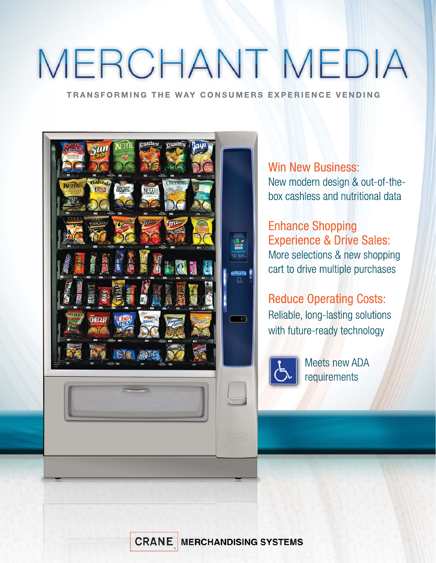# MERCHANT MEDIA

TRANSFORMING THE WAY CONSUMERS EXPERIENCE VENDING



**Win New Business:** New modern design & out-of-thebox cashless and nutritional data

### **Enhance Shopping Experience & Drive Sales:** More selections & new shopping cart to drive multiple purchases

**Reduce Operating Costs:** Reliable, long-lasting solutions with future-ready technology



**Meets new ADA** requirements

**CRANE MERCHANDISING SYSTEMS**